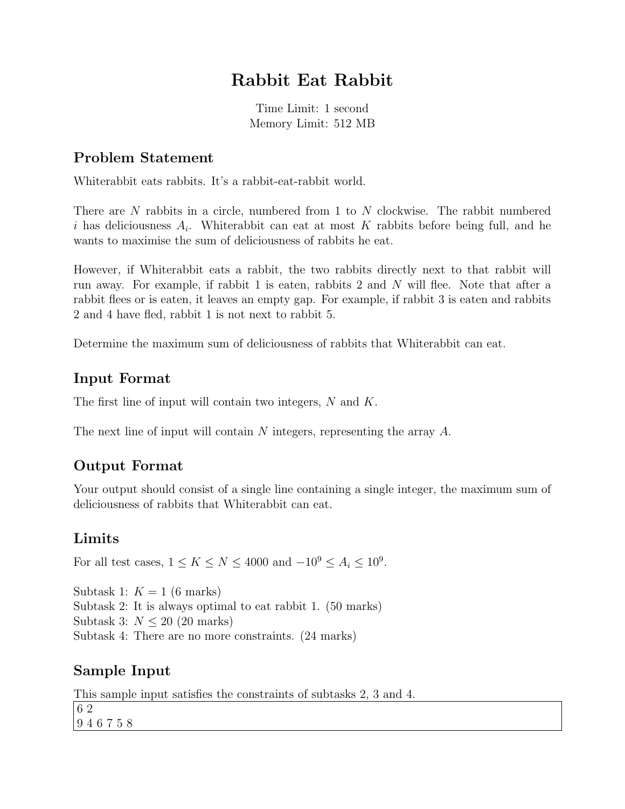# Rabbit Eat Rabbit

Time Limit: 1 second Memory Limit: 512 MB

#### Problem Statement

Whiterabbit eats rabbits. It's a rabbit-eat-rabbit world.

There are N rabbits in a circle, numbered from 1 to N clockwise. The rabbit numbered i has deliciousness  $A_i$ . Whiterabbit can eat at most K rabbits before being full, and he wants to maximise the sum of deliciousness of rabbits he eat.

However, if Whiterabbit eats a rabbit, the two rabbits directly next to that rabbit will run away. For example, if rabbit 1 is eaten, rabbits 2 and N will flee. Note that after a rabbit flees or is eaten, it leaves an empty gap. For example, if rabbit 3 is eaten and rabbits 2 and 4 have fled, rabbit 1 is not next to rabbit 5.

Determine the maximum sum of deliciousness of rabbits that Whiterabbit can eat.

#### Input Format

The first line of input will contain two integers, N and K.

The next line of input will contain N integers, representing the array A.

### Output Format

Your output should consist of a single line containing a single integer, the maximum sum of deliciousness of rabbits that Whiterabbit can eat.

#### Limits

For all test cases,  $1 \le K \le N \le 4000$  and  $-10^9 \le A_i \le 10^9$ .

Subtask 1:  $K = 1$  (6 marks) Subtask 2: It is always optimal to eat rabbit 1. (50 marks) Subtask 3:  $N \leq 20$  (20 marks) Subtask 4: There are no more constraints. (24 marks)

### Sample Input

This sample input satisfies the constraints of subtasks 2, 3 and 4. 6 2 9 4 6 7 5 8